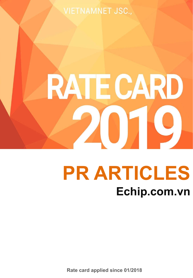**VIETNAMNET JSC.,** 

# **RATE CARD** 2019

## **PR ARTICLES Echip.com.vn**

**Rate card applied since 01/2018**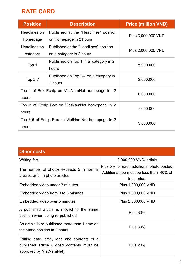### **RATE CARD**

| <b>Position</b>                                  | <b>Description</b>                    | <b>Price (million VND)</b> |
|--------------------------------------------------|---------------------------------------|----------------------------|
| Headlines on                                     | Published at the "Headlines" position | Plus 3,000,000 VND         |
| Homepage                                         | on Homepage in 2 hours                |                            |
| Headlines on                                     | Published at the "Headlines" position | Plus 2,000,000 VND         |
| category                                         | on a category in 2 hours              |                            |
| Top 1                                            | Published on Top 1 in a category in 2 | 5.000.000                  |
|                                                  | hours                                 |                            |
| <b>Top 2-7</b>                                   | Published on Top 2-7 on a category in | 3.000.000                  |
|                                                  | 2 hours                               |                            |
| Top 1 of Box Echip on VietNamNet homepage in 2   |                                       | 8.000.000                  |
| hours                                            |                                       |                            |
| Top 2 of Echip Box on VietNamNet homepage in 2   |                                       | 7.000.000                  |
| hours                                            |                                       |                            |
| Top 3-5 of Echip Box on VietNamNet homepage in 2 |                                       | 5.000.000                  |
| hours                                            |                                       |                            |

| <b>Other costs</b>                                                                                                  |                                                                                                      |  |  |
|---------------------------------------------------------------------------------------------------------------------|------------------------------------------------------------------------------------------------------|--|--|
| Writing fee                                                                                                         | 2,000,000 VND/ article                                                                               |  |  |
| The number of photos exceeds 5 in normal<br>articles or 9 in photo articles                                         | Plus 5% for each additional photo posted.<br>Additional fee must be less than 40% of<br>total price. |  |  |
| Embedded video under 3 minutes                                                                                      | Plus 1,000,000 VND                                                                                   |  |  |
| Embedded video from 3 to 5 minutes                                                                                  | Plus 1,500,000 VND                                                                                   |  |  |
| Embedded video over 5 minutes                                                                                       | Plus 2,000,000 VND                                                                                   |  |  |
| A published article is moved to the same<br>position when being re-published                                        | <b>Plus 30%</b>                                                                                      |  |  |
| An article is re-published more than 1 time on<br>the same position in 2 hours                                      | <b>Plus 30%</b>                                                                                      |  |  |
| Editing date, time, lead and contents of a<br>published article (Edited contents must be<br>approved by VietNamNet) | <b>Plus 20%</b>                                                                                      |  |  |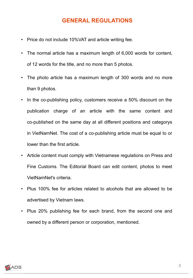#### **GENERAL REGULATIONS**

- Price do not include 10%VAT and article writing fee.
- The normal article has a maximum length of 6,000 words for content, of 12 words for the title, and no more than 5 photos.
- The photo article has a maximum length of 300 words and no more than 9 photos.
- In the co-publishing policy, customers receive a 50% discount on the publication charge of an article with the same content and co-published on the same day at all different positions and categorys in VietNamNet. The cost of a co-publishing article must be equal to or lower than the first article.
- Article content must comply with Vietnamese regulations on Press and Fine Customs. The Editorial Board can edit content, photos to meet VietNamNet's criteria.
- Plus 100% fee for articles related to alcohols that are allowed to be advertised by Vietnam laws.
- Plus 20% publishing fee for each brand, from the second one and owned by a different person or corporation, mentioned.